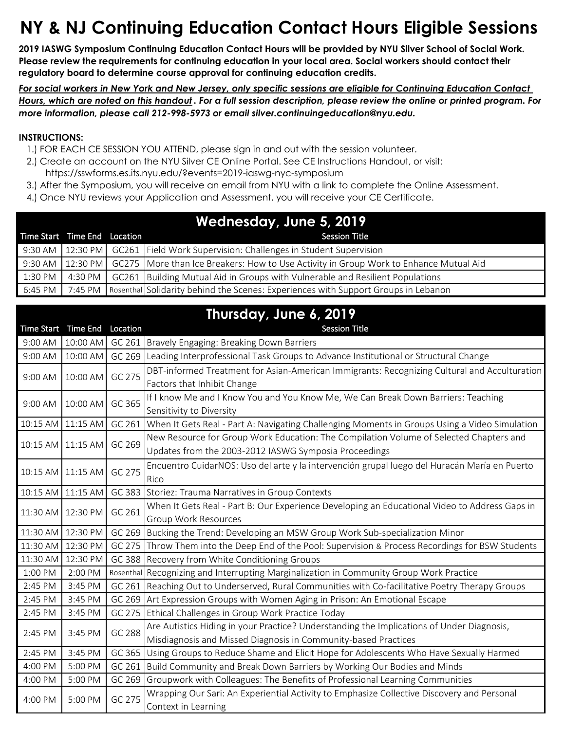## **NY & NJ Continuing Education Contact Hours Eligible Sessions**

**2019 IASWG Symposium Continuing Education Contact Hours will be provided by NYU Silver School of Social Work. Please review the requirements for continuing education in your local area. Social workers should contact their regulatory board to determine course approval for continuing education credits.** 

*For social workers in New York and New Jersey, only specific sessions are eligible for Continuing Education Contact Hours, which are noted on this handout . For a full session description, please review the online or printed program. For more information, please call 212-998-5973 or email silver.continuingeducation@nyu.edu.*

## **INSTRUCTIONS:**

- 1.) FOR EACH CE SESSION YOU ATTEND, please sign in and out with the session volunteer.
- 2.) Create an account on the NYU Silver CE Online Portal. See CE Instructions Handout, or visit:
	- https://sswforms.es.its.nyu.edu/?events=2019-iaswg-nyc-symposium
- 3.) After the Symposium, you will receive an email from NYU with a link to complete the Online Assessment.
- 4.) Once NYU reviews your Application and Assessment, you will receive your CE Certificate.

| Wednesday, June 5, 2019 |                              |  |                                                                                                              |
|-------------------------|------------------------------|--|--------------------------------------------------------------------------------------------------------------|
|                         | Time Start Time End Location |  | <b>Session Title</b>                                                                                         |
|                         |                              |  | 9:30 AM   12:30 PM   GC261   Field Work Supervision: Challenges in Student Supervision                       |
|                         |                              |  | 9:30 AM   12:30 PM   GC275   More than Ice Breakers: How to Use Activity in Group Work to Enhance Mutual Aid |
| $1:30$ PM               | 4:30 PM                      |  | GC261 Building Mutual Aid in Groups with Vulnerable and Resilient Populations                                |
|                         |                              |  | 6:45 PM   7:45 PM   Rosenthal Solidarity behind the Scenes: Experiences with Support Groups in Lebanon       |

## **Thursday, June 6, 2019**

|                   | Time Start Time End | Location | <b>Session Title</b>                                                                                 |
|-------------------|---------------------|----------|------------------------------------------------------------------------------------------------------|
| 9:00 AM           | 10:00 AM            |          | GC 261 Bravely Engaging: Breaking Down Barriers                                                      |
| 9:00 AM           | 10:00 AM            | GC 269   | Leading Interprofessional Task Groups to Advance Institutional or Structural Change                  |
| 9:00 AM           | 10:00 AM            | GC 275   | DBT-informed Treatment for Asian-American Immigrants: Recognizing Cultural and Acculturation         |
|                   |                     |          | Factors that Inhibit Change                                                                          |
| 9:00 AM           | 10:00 AM            | GC 365   | If I know Me and I Know You and You Know Me, We Can Break Down Barriers: Teaching                    |
|                   |                     |          | Sensitivity to Diversity                                                                             |
|                   | 10:15 AM 11:15 AM   |          | GC 261 When It Gets Real - Part A: Navigating Challenging Moments in Groups Using a Video Simulation |
|                   | 10:15 AM 11:15 AM   | GC 269   | New Resource for Group Work Education: The Compilation Volume of Selected Chapters and               |
|                   |                     |          | Updates from the 2003-2012 IASWG Symposia Proceedings                                                |
|                   | 10:15 AM 11:15 AM   | GC 275   | Encuentro CuidarNOS: Uso del arte y la intervención grupal luego del Huracán María en Puerto         |
|                   |                     |          | Rico                                                                                                 |
| 10:15 AM          | 11:15 AM            |          | GC 383 Storiez: Trauma Narratives in Group Contexts                                                  |
|                   | 11:30 AM 12:30 PM   | GC 261   | When It Gets Real - Part B: Our Experience Developing an Educational Video to Address Gaps in        |
|                   |                     |          | <b>Group Work Resources</b>                                                                          |
| 11:30 AM 12:30 PM |                     |          | GC 269 Bucking the Trend: Developing an MSW Group Work Sub-specialization Minor                      |
| 11:30 AM 12:30 PM |                     |          | GC 275 Throw Them into the Deep End of the Pool: Supervision & Process Recordings for BSW Students   |
| 11:30 AM          | 12:30 PM            |          | GC 388 Recovery from White Conditioning Groups                                                       |
| 1:00 PM           | 2:00 PM             |          | Rosenthal Recognizing and Interrupting Marginalization in Community Group Work Practice              |
| 2:45 PM           | 3:45 PM             |          | GC 261 Reaching Out to Underserved, Rural Communities with Co-facilitative Poetry Therapy Groups     |
| 2:45 PM           | 3:45 PM             |          | GC 269 Art Expression Groups with Women Aging in Prison: An Emotional Escape                         |
| 2:45 PM           | 3:45 PM             |          | GC 275 Ethical Challenges in Group Work Practice Today                                               |
| 2:45 PM           | 3:45 PM             | GC 288   | Are Autistics Hiding in your Practice? Understanding the Implications of Under Diagnosis,            |
|                   |                     |          | Misdiagnosis and Missed Diagnosis in Community-based Practices                                       |
| 2:45 PM           | 3:45 PM             |          | GC 365 Using Groups to Reduce Shame and Elicit Hope for Adolescents Who Have Sexually Harmed         |
| 4:00 PM           | 5:00 PM             | GC 261   | Build Community and Break Down Barriers by Working Our Bodies and Minds                              |
| 4:00 PM           | 5:00 PM             |          | GC 269 Groupwork with Colleagues: The Benefits of Professional Learning Communities                  |
| 4:00 PM           | 5:00 PM             | GC 275   | Wrapping Our Sari: An Experiential Activity to Emphasize Collective Discovery and Personal           |
|                   |                     |          | Context in Learning                                                                                  |